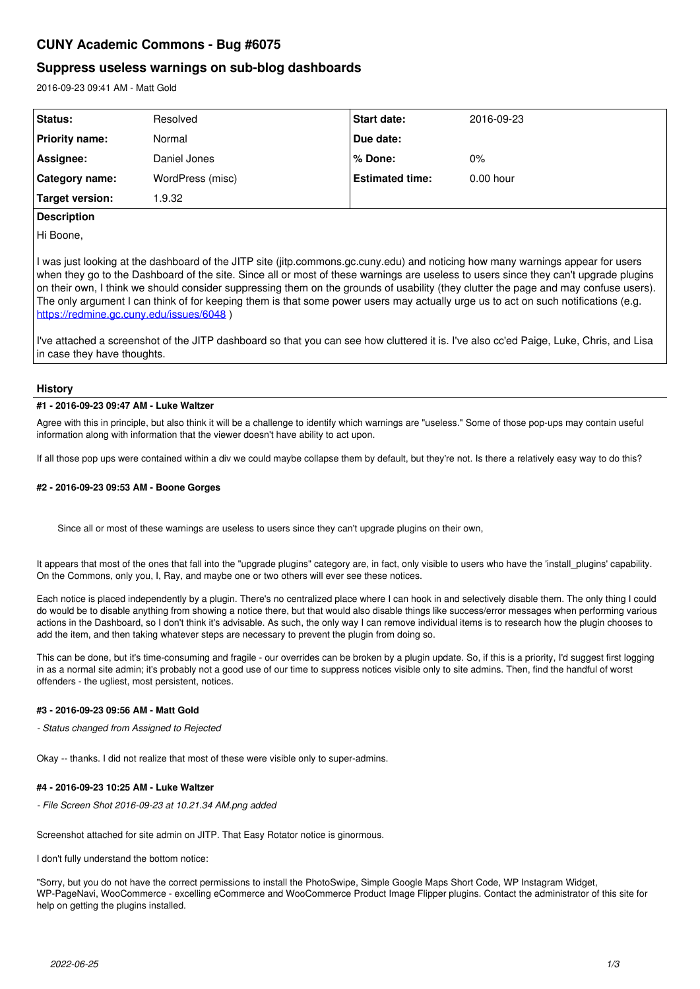# **CUNY Academic Commons - Bug #6075**

## **Suppress useless warnings on sub-blog dashboards**

2016-09-23 09:41 AM - Matt Gold

| Status:               | Resolved         | <b>Start date:</b>     | 2016-09-23  |
|-----------------------|------------------|------------------------|-------------|
| Priority name:        | Normal           | Due date:              |             |
| Assignee:             | Daniel Jones     | % Done:                | $0\%$       |
| <b>Category name:</b> | WordPress (misc) | <b>Estimated time:</b> | $0.00$ hour |
| Target version:       | .9.32            |                        |             |

## **Description**

Hi Boone,

I was just looking at the dashboard of the JITP site (jitp.commons.gc.cuny.edu) and noticing how many warnings appear for users when they go to the Dashboard of the site. Since all or most of these warnings are useless to users since they can't upgrade plugins on their own, I think we should consider suppressing them on the grounds of usability (they clutter the page and may confuse users). The only argument I can think of for keeping them is that some power users may actually urge us to act on such notifications (e.g. <https://redmine.gc.cuny.edu/issues/6048> )

I've attached a screenshot of the JITP dashboard so that you can see how cluttered it is. I've also cc'ed Paige, Luke, Chris, and Lisa in case they have thoughts.

## **History**

## **#1 - 2016-09-23 09:47 AM - Luke Waltzer**

Agree with this in principle, but also think it will be a challenge to identify which warnings are "useless." Some of those pop-ups may contain useful information along with information that the viewer doesn't have ability to act upon.

If all those pop ups were contained within a div we could maybe collapse them by default, but they're not. Is there a relatively easy way to do this?

## **#2 - 2016-09-23 09:53 AM - Boone Gorges**

Since all or most of these warnings are useless to users since they can't upgrade plugins on their own,

It appears that most of the ones that fall into the "upgrade plugins" category are, in fact, only visible to users who have the 'install plugins' capability. On the Commons, only you, I, Ray, and maybe one or two others will ever see these notices.

Each notice is placed independently by a plugin. There's no centralized place where I can hook in and selectively disable them. The only thing I could do would be to disable anything from showing a notice there, but that would also disable things like success/error messages when performing various actions in the Dashboard, so I don't think it's advisable. As such, the only way I can remove individual items is to research how the plugin chooses to add the item, and then taking whatever steps are necessary to prevent the plugin from doing so.

This can be done, but it's time-consuming and fragile - our overrides can be broken by a plugin update. So, if this is a priority, I'd suggest first logging in as a normal site admin; it's probably not a good use of our time to suppress notices visible only to site admins. Then, find the handful of worst offenders - the ugliest, most persistent, notices.

## **#3 - 2016-09-23 09:56 AM - Matt Gold**

*- Status changed from Assigned to Rejected*

Okay -- thanks. I did not realize that most of these were visible only to super-admins.

#### **#4 - 2016-09-23 10:25 AM - Luke Waltzer**

*- File Screen Shot 2016-09-23 at 10.21.34 AM.png added*

Screenshot attached for site admin on JITP. That Easy Rotator notice is ginormous.

I don't fully understand the bottom notice:

"Sorry, but you do not have the correct permissions to install the PhotoSwipe, Simple Google Maps Short Code, WP Instagram Widget, WP-PageNavi, WooCommerce - excelling eCommerce and WooCommerce Product Image Flipper plugins. Contact the administrator of this site for help on getting the plugins installed.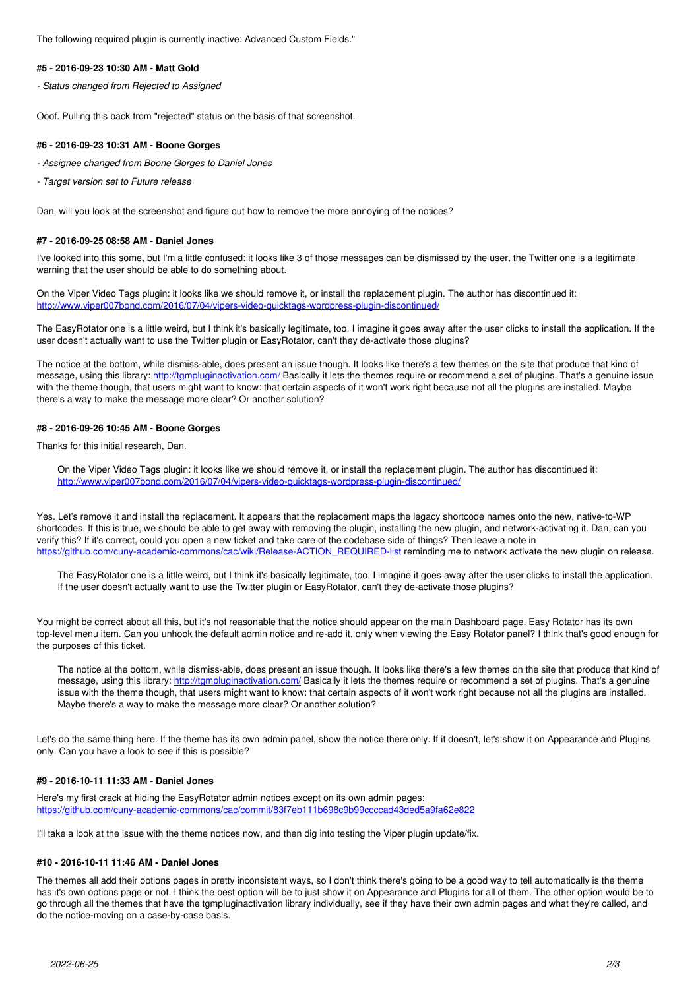The following required plugin is currently inactive: Advanced Custom Fields."

### **#5 - 2016-09-23 10:30 AM - Matt Gold**

*- Status changed from Rejected to Assigned*

Ooof. Pulling this back from "rejected" status on the basis of that screenshot.

## **#6 - 2016-09-23 10:31 AM - Boone Gorges**

*- Assignee changed from Boone Gorges to Daniel Jones*

*- Target version set to Future release*

Dan, will you look at the screenshot and figure out how to remove the more annoying of the notices?

## **#7 - 2016-09-25 08:58 AM - Daniel Jones**

I've looked into this some, but I'm a little confused: it looks like 3 of those messages can be dismissed by the user, the Twitter one is a legitimate warning that the user should be able to do something about.

On the Viper Video Tags plugin: it looks like we should remove it, or install the replacement plugin. The author has discontinued it: <http://www.viper007bond.com/2016/07/04/vipers-video-quicktags-wordpress-plugin-discontinued/>

The EasyRotator one is a little weird, but I think it's basically legitimate, too. I imagine it goes away after the user clicks to install the application. If the user doesn't actually want to use the Twitter plugin or EasyRotator, can't they de-activate those plugins?

The notice at the bottom, while dismiss-able, does present an issue though. It looks like there's a few themes on the site that produce that kind of message, using this library:<http://tgmpluginactivation.com/> Basically it lets the themes require or recommend a set of plugins. That's a genuine issue with the theme though, that users might want to know: that certain aspects of it won't work right because not all the plugins are installed. Maybe there's a way to make the message more clear? Or another solution?

## **#8 - 2016-09-26 10:45 AM - Boone Gorges**

Thanks for this initial research, Dan.

On the Viper Video Tags plugin: it looks like we should remove it, or install the replacement plugin. The author has discontinued it: <http://www.viper007bond.com/2016/07/04/vipers-video-quicktags-wordpress-plugin-discontinued/>

Yes. Let's remove it and install the replacement. It appears that the replacement maps the legacy shortcode names onto the new, native-to-WP shortcodes. If this is true, we should be able to get away with removing the plugin, installing the new plugin, and network-activating it. Dan, can you verify this? If it's correct, could you open a new ticket and take care of the codebase side of things? Then leave a note in [https://github.com/cuny-academic-commons/cac/wiki/Release-ACTION\\_REQUIRED-list](https://github.com/cuny-academic-commons/cac/wiki/Release-ACTION_REQUIRED-list) reminding me to network activate the new plugin on release.

The EasyRotator one is a little weird, but I think it's basically legitimate, too. I imagine it goes away after the user clicks to install the application. If the user doesn't actually want to use the Twitter plugin or EasyRotator, can't they de-activate those plugins?

You might be correct about all this, but it's not reasonable that the notice should appear on the main Dashboard page. Easy Rotator has its own top-level menu item. Can you unhook the default admin notice and re-add it, only when viewing the Easy Rotator panel? I think that's good enough for the purposes of this ticket.

The notice at the bottom, while dismiss-able, does present an issue though. It looks like there's a few themes on the site that produce that kind of message, using this library: http://tampluginactivation.com/ Basically it lets the themes require or recommend a set of plugins. That's a genuine issue with the theme though, that users might want to know: that certain aspects of it won't work right because not all the plugins are installed. Maybe there's a way to make the message more clear? Or another solution?

Let's do the same thing here. If the theme has its own admin panel, show the notice there only. If it doesn't, let's show it on Appearance and Plugins only. Can you have a look to see if this is possible?

## **#9 - 2016-10-11 11:33 AM - Daniel Jones**

Here's my first crack at hiding the EasyRotator admin notices except on its own admin pages: <https://github.com/cuny-academic-commons/cac/commit/83f7eb111b698c9b99ccccad43ded5a9fa62e822>

I'll take a look at the issue with the theme notices now, and then dig into testing the Viper plugin update/fix.

## **#10 - 2016-10-11 11:46 AM - Daniel Jones**

The themes all add their options pages in pretty inconsistent ways, so I don't think there's going to be a good way to tell automatically is the theme has it's own options page or not. I think the best option will be to just show it on Appearance and Plugins for all of them. The other option would be to go through all the themes that have the tgmpluginactivation library individually, see if they have their own admin pages and what they're called, and do the notice-moving on a case-by-case basis.